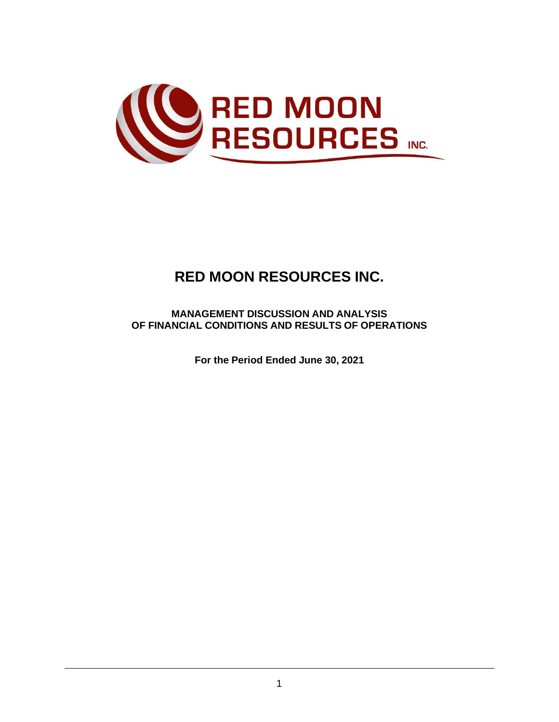

# **RED MOON RESOURCES INC.**

**MANAGEMENT DISCUSSION AND ANALYSIS OF FINANCIAL CONDITIONS AND RESULTS OF OPERATIONS**

**For the Period Ended June 30, 2021**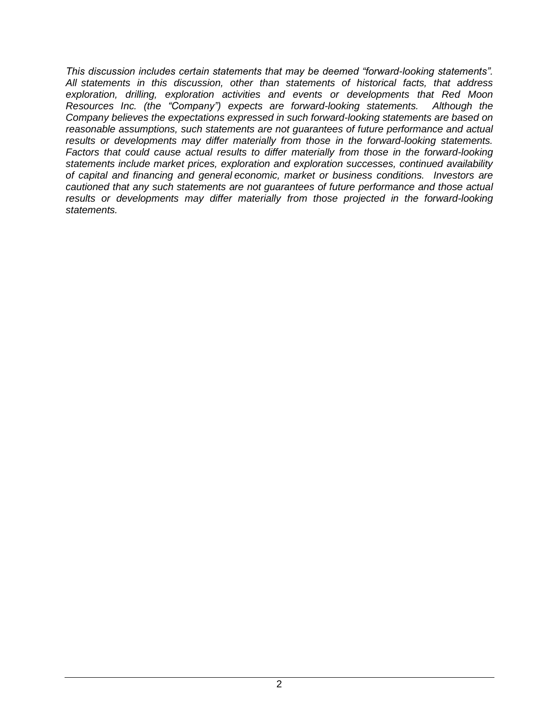*This discussion includes certain statements that may be deemed "forward-looking statements". All statements in this discussion, other than statements of historical facts, that address exploration, drilling, exploration activities and events or developments that Red Moon Resources Inc. (the "Company") expects are forward-looking statements. Although the Company believes the expectations expressed in such forward-looking statements are based on reasonable assumptions, such statements are not guarantees of future performance and actual results or developments may differ materially from those in the forward-looking statements. Factors that could cause actual results to differ materially from those in the forward-looking statements include market prices, exploration and exploration successes, continued availability of capital and financing and general economic, market or business conditions. Investors are cautioned that any such statements are not guarantees of future performance and those actual results or developments may differ materially from those projected in the forward-looking statements.*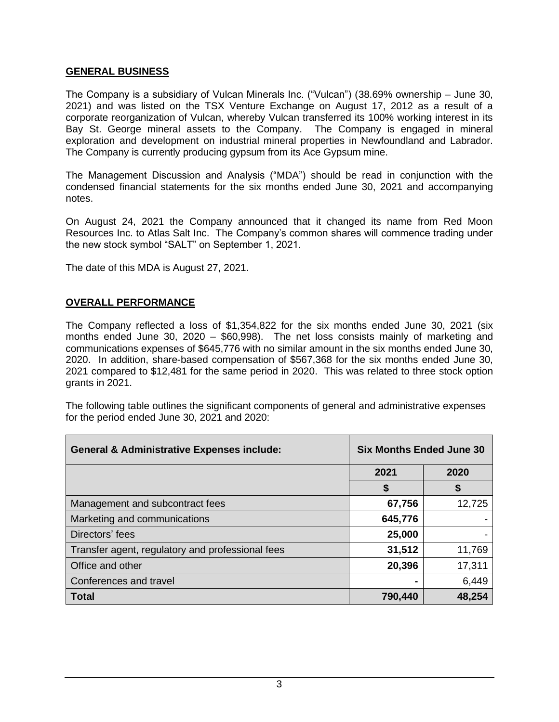#### **GENERAL BUSINESS**

The Company is a subsidiary of Vulcan Minerals Inc. ("Vulcan") (38.69% ownership – June 30, 2021) and was listed on the TSX Venture Exchange on August 17, 2012 as a result of a corporate reorganization of Vulcan, whereby Vulcan transferred its 100% working interest in its Bay St. George mineral assets to the Company. The Company is engaged in mineral exploration and development on industrial mineral properties in Newfoundland and Labrador. The Company is currently producing gypsum from its Ace Gypsum mine.

The Management Discussion and Analysis ("MDA") should be read in conjunction with the condensed financial statements for the six months ended June 30, 2021 and accompanying notes.

On August 24, 2021 the Company announced that it changed its name from Red Moon Resources Inc. to Atlas Salt Inc. The Company's common shares will commence trading under the new stock symbol "SALT" on September 1, 2021.

The date of this MDA is August 27, 2021.

### **OVERALL PERFORMANCE**

The Company reflected a loss of \$1,354,822 for the six months ended June 30, 2021 (six months ended June 30, 2020 – \$60,998). The net loss consists mainly of marketing and communications expenses of \$645,776 with no similar amount in the six months ended June 30, 2020. In addition, share-based compensation of \$567,368 for the six months ended June 30, 2021 compared to \$12,481 for the same period in 2020. This was related to three stock option grants in 2021.

The following table outlines the significant components of general and administrative expenses for the period ended June 30, 2021 and 2020:

| <b>General &amp; Administrative Expenses include:</b> | <b>Six Months Ended June 30</b> |        |
|-------------------------------------------------------|---------------------------------|--------|
|                                                       | 2021                            | 2020   |
|                                                       | \$                              | \$     |
| Management and subcontract fees                       | 67,756                          | 12,725 |
| Marketing and communications                          | 645,776                         |        |
| Directors' fees                                       | 25,000                          |        |
| Transfer agent, regulatory and professional fees      | 31,512                          | 11,769 |
| Office and other                                      | 20,396                          | 17,311 |
| Conferences and travel                                |                                 | 6,449  |
| <b>Total</b>                                          | 790,440                         | 48,254 |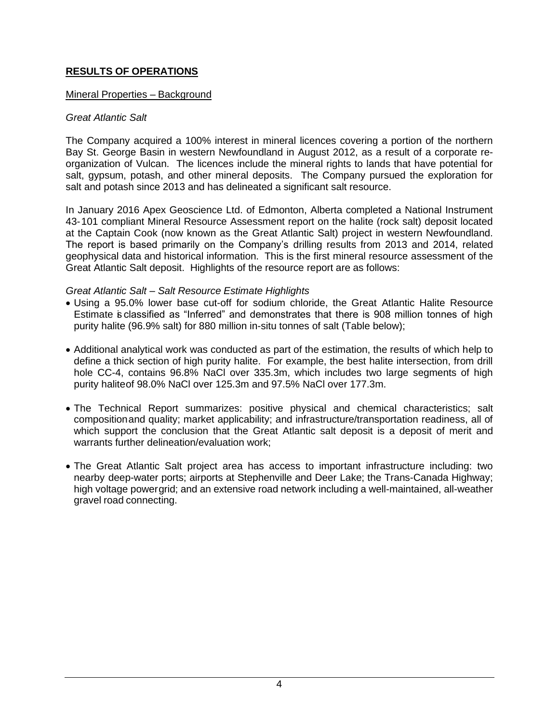## **RESULTS OF OPERATIONS**

### Mineral Properties – Background

### *Great Atlantic Salt*

The Company acquired a 100% interest in mineral licences covering a portion of the northern Bay St. George Basin in western Newfoundland in August 2012, as a result of a corporate reorganization of Vulcan. The licences include the mineral rights to lands that have potential for salt, gypsum, potash, and other mineral deposits. The Company pursued the exploration for salt and potash since 2013 and has delineated a significant salt resource.

In January 2016 Apex Geoscience Ltd. of Edmonton, Alberta completed a National Instrument 43-101 compliant Mineral Resource Assessment report on the halite (rock salt) deposit located at the Captain Cook (now known as the Great Atlantic Salt) project in western Newfoundland. The report is based primarily on the Company's drilling results from 2013 and 2014, related geophysical data and historical information. This is the first mineral resource assessment of the Great Atlantic Salt deposit. Highlights of the resource report are as follows:

### *Great Atlantic Salt – Salt Resource Estimate Highlights*

- Using a 95.0% lower base cut-off for sodium chloride, the Great Atlantic Halite Resource Estimate is classified as "Inferred" and demonstrates that there is 908 million tonnes of high purity halite (96.9% salt) for 880 million in-situ tonnes of salt (Table below);
- Additional analytical work was conducted as part of the estimation, the results of which help to define a thick section of high purity halite. For example, the best halite intersection, from drill hole CC-4, contains 96.8% NaCl over 335.3m, which includes two large segments of high purity haliteof 98.0% NaCl over 125.3m and 97.5% NaCl over 177.3m.
- The Technical Report summarizes: positive physical and chemical characteristics; salt compositionand quality; market applicability; and infrastructure/transportation readiness, all of which support the conclusion that the Great Atlantic salt deposit is a deposit of merit and warrants further delineation/evaluation work;
- The Great Atlantic Salt project area has access to important infrastructure including: two nearby deep-water ports; airports at Stephenville and Deer Lake; the Trans-Canada Highway; high voltage powergrid; and an extensive road network including a well-maintained, all-weather gravel road connecting.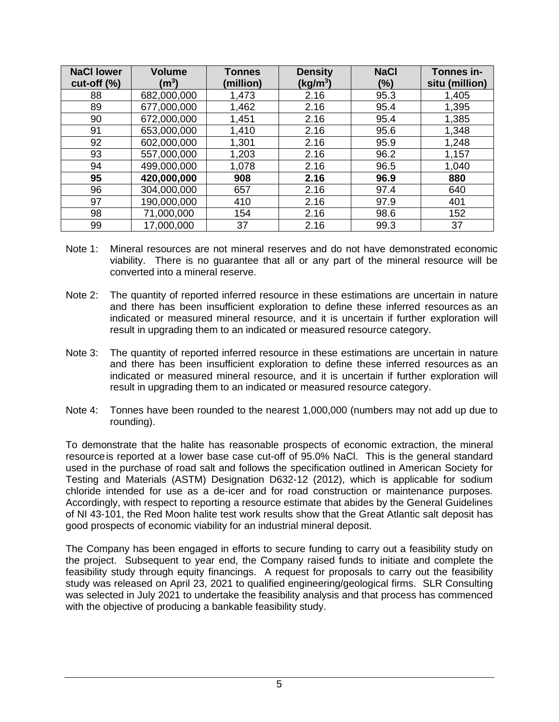| <b>NaCl lower</b><br>$cut-off (%)$ | <b>Volume</b><br>$\rm (m^3)$ | <b>Tonnes</b><br>(million) | <b>Density</b><br>(kg/m <sup>3</sup> ) | <b>NaCl</b><br>(%) | Tonnes in-<br>situ (million) |
|------------------------------------|------------------------------|----------------------------|----------------------------------------|--------------------|------------------------------|
| 88                                 | 682,000,000                  | 1,473                      | 2.16                                   | 95.3               | 1,405                        |
| 89                                 | 677,000,000                  | 1,462                      | 2.16                                   | 95.4               | 1,395                        |
| 90                                 | 672,000,000                  | 1,451                      | 2.16                                   | 95.4               | 1,385                        |
| 91                                 | 653,000,000                  | 1,410                      | 2.16                                   | 95.6               | 1,348                        |
| 92                                 | 602,000,000                  | 1,301                      | 2.16                                   | 95.9               | 1,248                        |
| 93                                 | 557,000,000                  | 1,203                      | 2.16                                   | 96.2               | 1,157                        |
| 94                                 | 499,000,000                  | 1,078                      | 2.16                                   | 96.5               | 1,040                        |
| 95                                 | 420,000,000                  | 908                        | 2.16                                   | 96.9               | 880                          |
| 96                                 | 304,000,000                  | 657                        | 2.16                                   | 97.4               | 640                          |
| 97                                 | 190,000,000                  | 410                        | 2.16                                   | 97.9               | 401                          |
| 98                                 | 71,000,000                   | 154                        | 2.16                                   | 98.6               | 152                          |
| 99                                 | 17,000,000                   | 37                         | 2.16                                   | 99.3               | 37                           |

- Note 1: Mineral resources are not mineral reserves and do not have demonstrated economic viability. There is no guarantee that all or any part of the mineral resource will be converted into a mineral reserve.
- Note 2: The quantity of reported inferred resource in these estimations are uncertain in nature and there has been insufficient exploration to define these inferred resources as an indicated or measured mineral resource, and it is uncertain if further exploration will result in upgrading them to an indicated or measured resource category.
- Note 3: The quantity of reported inferred resource in these estimations are uncertain in nature and there has been insufficient exploration to define these inferred resources as an indicated or measured mineral resource, and it is uncertain if further exploration will result in upgrading them to an indicated or measured resource category.
- Note 4: Tonnes have been rounded to the nearest 1,000,000 (numbers may not add up due to rounding).

To demonstrate that the halite has reasonable prospects of economic extraction, the mineral resourceis reported at a lower base case cut-off of 95.0% NaCl. This is the general standard used in the purchase of road salt and follows the specification outlined in American Society for Testing and Materials (ASTM) Designation D632-12 (2012), which is applicable for sodium chloride intended for use as a de-icer and for road construction or maintenance purposes. Accordingly, with respect to reporting a resource estimate that abides by the General Guidelines of NI 43-101, the Red Moon halite test work results show that the Great Atlantic salt deposit has good prospects of economic viability for an industrial mineral deposit.

The Company has been engaged in efforts to secure funding to carry out a feasibility study on the project. Subsequent to year end, the Company raised funds to initiate and complete the feasibility study through equity financings. A request for proposals to carry out the feasibility study was released on April 23, 2021 to qualified engineering/geological firms. SLR Consulting was selected in July 2021 to undertake the feasibility analysis and that process has commenced with the objective of producing a bankable feasibility study.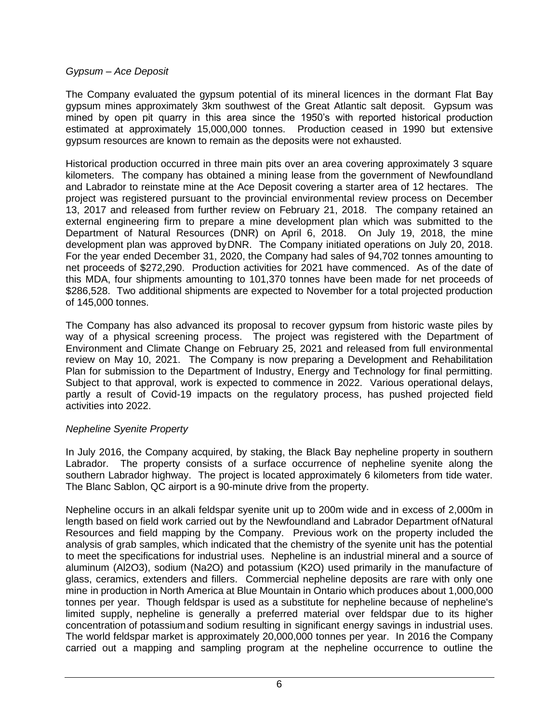### *Gypsum – Ace Deposit*

The Company evaluated the gypsum potential of its mineral licences in the dormant Flat Bay gypsum mines approximately 3km southwest of the Great Atlantic salt deposit. Gypsum was mined by open pit quarry in this area since the 1950's with reported historical production estimated at approximately 15,000,000 tonnes. Production ceased in 1990 but extensive gypsum resources are known to remain as the deposits were not exhausted.

Historical production occurred in three main pits over an area covering approximately 3 square kilometers. The company has obtained a mining lease from the government of Newfoundland and Labrador to reinstate mine at the Ace Deposit covering a starter area of 12 hectares. The project was registered pursuant to the provincial environmental review process on December 13, 2017 and released from further review on February 21, 2018. The company retained an external engineering firm to prepare a mine development plan which was submitted to the Department of Natural Resources (DNR) on April 6, 2018. On July 19, 2018, the mine development plan was approved byDNR. The Company initiated operations on July 20, 2018. For the year ended December 31, 2020, the Company had sales of 94,702 tonnes amounting to net proceeds of \$272,290. Production activities for 2021 have commenced. As of the date of this MDA, four shipments amounting to 101,370 tonnes have been made for net proceeds of \$286,528. Two additional shipments are expected to November for a total projected production of 145,000 tonnes.

The Company has also advanced its proposal to recover gypsum from historic waste piles by way of a physical screening process. The project was registered with the Department of Environment and Climate Change on February 25, 2021 and released from full environmental review on May 10, 2021. The Company is now preparing a Development and Rehabilitation Plan for submission to the Department of Industry, Energy and Technology for final permitting. Subject to that approval, work is expected to commence in 2022. Various operational delays, partly a result of Covid-19 impacts on the regulatory process, has pushed projected field activities into 2022.

### *Nepheline Syenite Property*

In July 2016, the Company acquired, by staking, the Black Bay nepheline property in southern Labrador. The property consists of a surface occurrence of nepheline syenite along the southern Labrador highway. The project is located approximately 6 kilometers from tide water. The Blanc Sablon, QC airport is a 90-minute drive from the property.

Nepheline occurs in an alkali feldspar syenite unit up to 200m wide and in excess of 2,000m in length based on field work carried out by the Newfoundland and Labrador Department ofNatural Resources and field mapping by the Company. Previous work on the property included the analysis of grab samples, which indicated that the chemistry of the syenite unit has the potential to meet the specifications for industrial uses. Nepheline is an industrial mineral and a source of aluminum (Al2O3), sodium (Na2O) and potassium (K2O) used primarily in the manufacture of glass, ceramics, extenders and fillers. Commercial nepheline deposits are rare with only one mine in production in North America at Blue Mountain in Ontario which produces about 1,000,000 tonnes per year. Though feldspar is used as a substitute for nepheline because of nepheline's limited supply, nepheline is generally a preferred material over feldspar due to its higher concentration of potassiumand sodium resulting in significant energy savings in industrial uses. The world feldspar market is approximately 20,000,000 tonnes per year. In 2016 the Company carried out a mapping and sampling program at the nepheline occurrence to outline the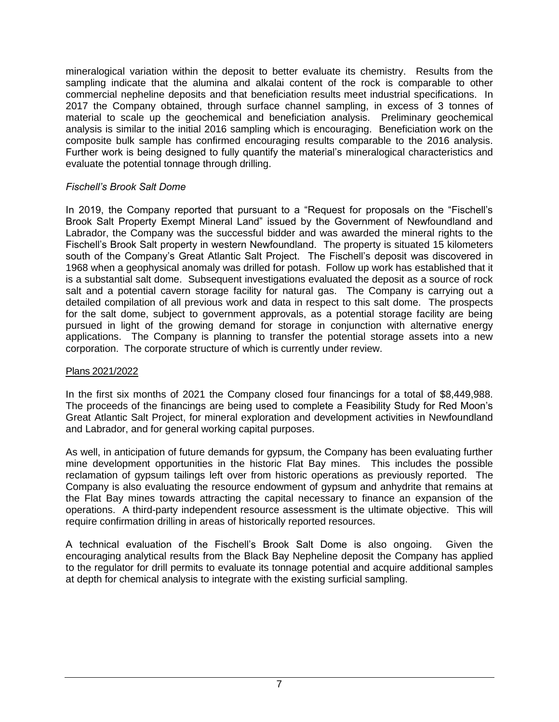mineralogical variation within the deposit to better evaluate its chemistry. Results from the sampling indicate that the alumina and alkalai content of the rock is comparable to other commercial nepheline deposits and that beneficiation results meet industrial specifications. In 2017 the Company obtained, through surface channel sampling, in excess of 3 tonnes of material to scale up the geochemical and beneficiation analysis. Preliminary geochemical analysis is similar to the initial 2016 sampling which is encouraging. Beneficiation work on the composite bulk sample has confirmed encouraging results comparable to the 2016 analysis. Further work is being designed to fully quantify the material's mineralogical characteristics and evaluate the potential tonnage through drilling.

### *Fischell's Brook Salt Dome*

In 2019, the Company reported that pursuant to a "Request for proposals on the "Fischell's Brook Salt Property Exempt Mineral Land" issued by the Government of Newfoundland and Labrador, the Company was the successful bidder and was awarded the mineral rights to the Fischell's Brook Salt property in western Newfoundland. The property is situated 15 kilometers south of the Company's Great Atlantic Salt Project. The Fischell's deposit was discovered in 1968 when a geophysical anomaly was drilled for potash. Follow up work has established that it is a substantial salt dome. Subsequent investigations evaluated the deposit as a source of rock salt and a potential cavern storage facility for natural gas. The Company is carrying out a detailed compilation of all previous work and data in respect to this salt dome. The prospects for the salt dome, subject to government approvals, as a potential storage facility are being pursued in light of the growing demand for storage in conjunction with alternative energy applications. The Company is planning to transfer the potential storage assets into a new corporation. The corporate structure of which is currently under review.

### Plans 2021/2022

In the first six months of 2021 the Company closed four financings for a total of \$8,449,988. The proceeds of the financings are being used to complete a Feasibility Study for Red Moon's Great Atlantic Salt Project, for mineral exploration and development activities in Newfoundland and Labrador, and for general working capital purposes.

As well, in anticipation of future demands for gypsum, the Company has been evaluating further mine development opportunities in the historic Flat Bay mines. This includes the possible reclamation of gypsum tailings left over from historic operations as previously reported. The Company is also evaluating the resource endowment of gypsum and anhydrite that remains at the Flat Bay mines towards attracting the capital necessary to finance an expansion of the operations. A third-party independent resource assessment is the ultimate objective. This will require confirmation drilling in areas of historically reported resources.

A technical evaluation of the Fischell's Brook Salt Dome is also ongoing. Given the encouraging analytical results from the Black Bay Nepheline deposit the Company has applied to the regulator for drill permits to evaluate its tonnage potential and acquire additional samples at depth for chemical analysis to integrate with the existing surficial sampling.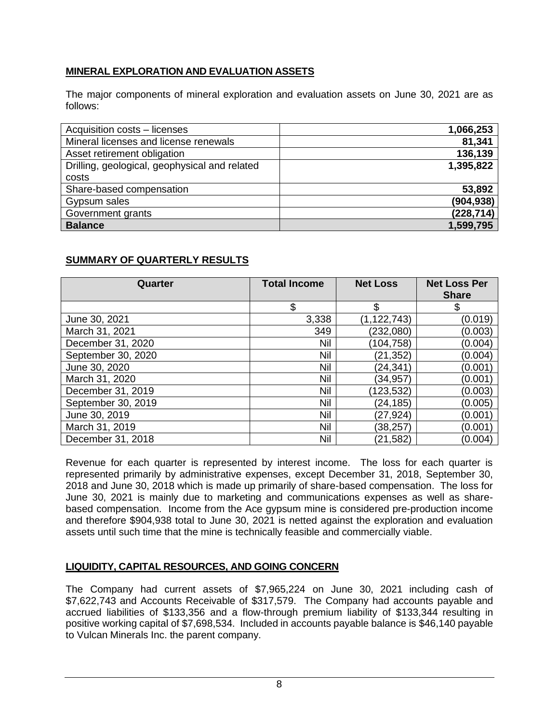# **MINERAL EXPLORATION AND EVALUATION ASSETS**

The major components of mineral exploration and evaluation assets on June 30, 2021 are as follows:

| Acquisition costs - licenses                  | 1,066,253  |
|-----------------------------------------------|------------|
| Mineral licenses and license renewals         | 81,341     |
| Asset retirement obligation                   | 136,139    |
| Drilling, geological, geophysical and related | 1,395,822  |
| costs                                         |            |
| Share-based compensation                      | 53,892     |
| Gypsum sales                                  | (904, 938) |
| Government grants                             | (228, 714) |
| <b>Balance</b>                                | 1,599,795  |

# **SUMMARY OF QUARTERLY RESULTS**

| Quarter            | <b>Total Income</b> | <b>Net Loss</b> | <b>Net Loss Per</b><br><b>Share</b> |
|--------------------|---------------------|-----------------|-------------------------------------|
|                    | \$                  | \$              | Ֆ                                   |
| June 30, 2021      | 3,338               | (1, 122, 743)   | (0.019)                             |
| March 31, 2021     | 349                 | (232,080)       | (0.003)                             |
| December 31, 2020  | Nil                 | (104, 758)      | (0.004)                             |
| September 30, 2020 | Nil                 | (21, 352)       | (0.004)                             |
| June 30, 2020      | Nil                 | (24, 341)       | (0.001)                             |
| March 31, 2020     | Nil                 | (34, 957)       | (0.001)                             |
| December 31, 2019  | Nil                 | (123,532)       | (0.003)                             |
| September 30, 2019 | Nil                 | (24, 185)       | (0.005)                             |
| June 30, 2019      | Nil                 | (27,924)        | (0.001)                             |
| March 31, 2019     | Nil                 | (38, 257)       | (0.001)                             |
| December 31, 2018  | Nil                 | (21,582)        | (0.004)                             |

Revenue for each quarter is represented by interest income. The loss for each quarter is represented primarily by administrative expenses, except December 31, 2018, September 30, 2018 and June 30, 2018 which is made up primarily of share-based compensation. The loss for June 30, 2021 is mainly due to marketing and communications expenses as well as sharebased compensation. Income from the Ace gypsum mine is considered pre-production income and therefore \$904,938 total to June 30, 2021 is netted against the exploration and evaluation assets until such time that the mine is technically feasible and commercially viable.

# **LIQUIDITY, CAPITAL RESOURCES, AND GOING CONCERN**

The Company had current assets of \$7,965,224 on June 30, 2021 including cash of \$7,622,743 and Accounts Receivable of \$317,579. The Company had accounts payable and accrued liabilities of \$133,356 and a flow-through premium liability of \$133,344 resulting in positive working capital of \$7,698,534. Included in accounts payable balance is \$46,140 payable to Vulcan Minerals Inc. the parent company.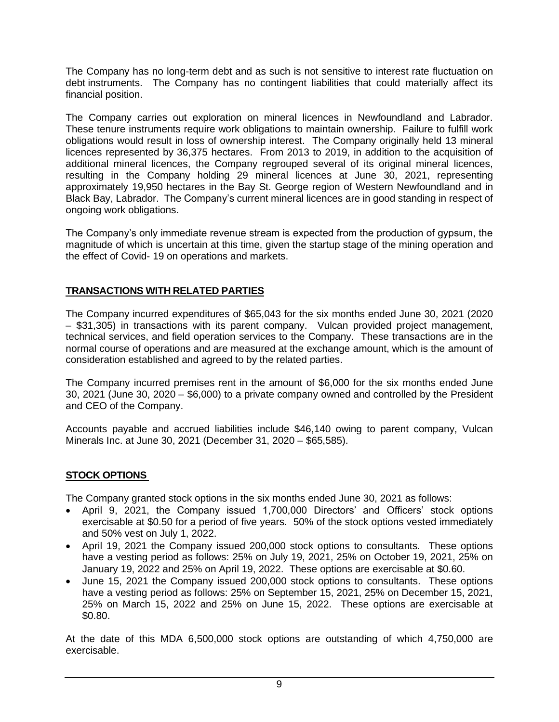The Company has no long-term debt and as such is not sensitive to interest rate fluctuation on debt instruments. The Company has no contingent liabilities that could materially affect its financial position.

The Company carries out exploration on mineral licences in Newfoundland and Labrador. These tenure instruments require work obligations to maintain ownership. Failure to fulfill work obligations would result in loss of ownership interest. The Company originally held 13 mineral licences represented by 36,375 hectares. From 2013 to 2019, in addition to the acquisition of additional mineral licences, the Company regrouped several of its original mineral licences, resulting in the Company holding 29 mineral licences at June 30, 2021, representing approximately 19,950 hectares in the Bay St. George region of Western Newfoundland and in Black Bay, Labrador. The Company's current mineral licences are in good standing in respect of ongoing work obligations.

The Company's only immediate revenue stream is expected from the production of gypsum, the magnitude of which is uncertain at this time, given the startup stage of the mining operation and the effect of Covid- 19 on operations and markets.

# **TRANSACTIONS WITH RELATED PARTIES**

The Company incurred expenditures of \$65,043 for the six months ended June 30, 2021 (2020 – \$31,305) in transactions with its parent company. Vulcan provided project management, technical services, and field operation services to the Company. These transactions are in the normal course of operations and are measured at the exchange amount, which is the amount of consideration established and agreed to by the related parties.

The Company incurred premises rent in the amount of \$6,000 for the six months ended June 30, 2021 (June 30, 2020 – \$6,000) to a private company owned and controlled by the President and CEO of the Company.

Accounts payable and accrued liabilities include \$46,140 owing to parent company, Vulcan Minerals Inc. at June 30, 2021 (December 31, 2020 – \$65,585).

# **STOCK OPTIONS**

The Company granted stock options in the six months ended June 30, 2021 as follows:

- April 9, 2021, the Company issued 1,700,000 Directors' and Officers' stock options exercisable at \$0.50 for a period of five years. 50% of the stock options vested immediately and 50% vest on July 1, 2022.
- April 19, 2021 the Company issued 200,000 stock options to consultants. These options have a vesting period as follows: 25% on July 19, 2021, 25% on October 19, 2021, 25% on January 19, 2022 and 25% on April 19, 2022. These options are exercisable at \$0.60.
- June 15, 2021 the Company issued 200,000 stock options to consultants. These options have a vesting period as follows: 25% on September 15, 2021, 25% on December 15, 2021, 25% on March 15, 2022 and 25% on June 15, 2022. These options are exercisable at \$0.80.

At the date of this MDA 6,500,000 stock options are outstanding of which 4,750,000 are exercisable.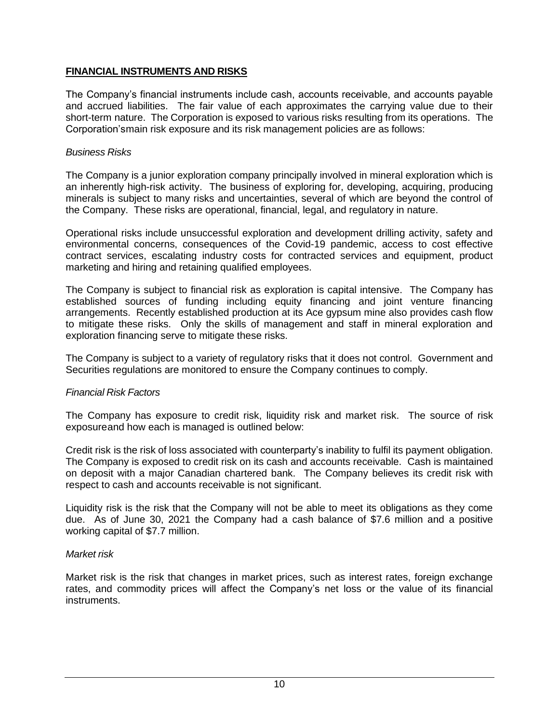### **FINANCIAL INSTRUMENTS AND RISKS**

The Company's financial instruments include cash, accounts receivable, and accounts payable and accrued liabilities. The fair value of each approximates the carrying value due to their short-term nature. The Corporation is exposed to various risks resulting from its operations. The Corporation'smain risk exposure and its risk management policies are as follows:

### *Business Risks*

The Company is a junior exploration company principally involved in mineral exploration which is an inherently high-risk activity. The business of exploring for, developing, acquiring, producing minerals is subject to many risks and uncertainties, several of which are beyond the control of the Company. These risks are operational, financial, legal, and regulatory in nature.

Operational risks include unsuccessful exploration and development drilling activity, safety and environmental concerns, consequences of the Covid-19 pandemic, access to cost effective contract services, escalating industry costs for contracted services and equipment, product marketing and hiring and retaining qualified employees.

The Company is subject to financial risk as exploration is capital intensive. The Company has established sources of funding including equity financing and joint venture financing arrangements. Recently established production at its Ace gypsum mine also provides cash flow to mitigate these risks. Only the skills of management and staff in mineral exploration and exploration financing serve to mitigate these risks.

The Company is subject to a variety of regulatory risks that it does not control. Government and Securities regulations are monitored to ensure the Company continues to comply.

#### *Financial Risk Factors*

The Company has exposure to credit risk, liquidity risk and market risk. The source of risk exposureand how each is managed is outlined below:

Credit risk is the risk of loss associated with counterparty's inability to fulfil its payment obligation. The Company is exposed to credit risk on its cash and accounts receivable. Cash is maintained on deposit with a major Canadian chartered bank. The Company believes its credit risk with respect to cash and accounts receivable is not significant.

Liquidity risk is the risk that the Company will not be able to meet its obligations as they come due. As of June 30, 2021 the Company had a cash balance of \$7.6 million and a positive working capital of \$7.7 million.

#### *Market risk*

Market risk is the risk that changes in market prices, such as interest rates, foreign exchange rates, and commodity prices will affect the Company's net loss or the value of its financial instruments.